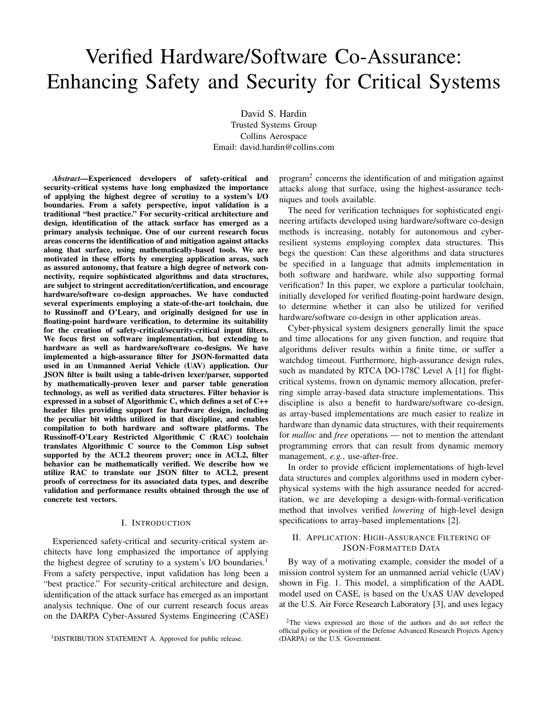# Verified Hardware/Software Co-Assurance: Enhancing Safety and Security for Critical Systems

David S. Hardin Trusted Systems Group Collins Aerospace Email: david.hardin@collins.com

*Abstract*—Experienced developers of safety-critical and security-critical systems have long emphasized the importance of applying the highest degree of scrutiny to a system's I/O boundaries. From a safety perspective, input validation is a traditional "best practice." For security-critical architecture and design, identification of the attack surface has emerged as a primary analysis technique. One of our current research focus areas concerns the identification of and mitigation against attacks along that surface, using mathematically-based tools. We are motivated in these efforts by emerging application areas, such as assured autonomy, that feature a high degree of network connectivity, require sophisticated algorithms and data structures, are subject to stringent accreditation/certification, and encourage hardware/software co-design approaches. We have conducted several experiments employing a state-of-the-art toolchain, due to Russinoff and O'Leary, and originally designed for use in floating-point hardware verification, to determine its suitability for the creation of safety-critical/security-critical input filters. We focus first on software implementation, but extending to hardware as well as hardware/software co-designs. We have implemented a high-assurance filter for JSON-formatted data used in an Unmanned Aerial Vehicle (UAV) application. Our JSON filter is built using a table-driven lexer/parser, supported by mathematically-proven lexer and parser table generation technology, as well as verified data structures. Filter behavior is expressed in a subset of Algorithmic C, which defines a set of C++ header files providing support for hardware design, including the peculiar bit widths utilized in that discipline, and enables compilation to both hardware and software platforms. The Russinoff-O'Leary Restricted Algorithmic C (RAC) toolchain translates Algorithmic C source to the Common Lisp subset supported by the ACL2 theorem prover; once in ACL2, filter behavior can be mathematically verified. We describe how we utilize RAC to translate our JSON filter to ACL2, present proofs of correctness for its associated data types, and describe validation and performance results obtained through the use of concrete test vectors.

### I. INTRODUCTION

Experienced safety-critical and security-critical system architects have long emphasized the importance of applying the highest degree of scrutiny to a system's I/O boundaries.<sup>1</sup> From a safety perspective, input validation has long been a "best practice." For security-critical architecture and design, identification of the attack surface has emerged as an important analysis technique. One of our current research focus areas on the DARPA Cyber-Assured Systems Engineering (CASE)

<sup>1</sup>DISTRIBUTION STATEMENT A. Approved for public release.

program<sup>2</sup> concerns the identification of and mitigation against attacks along that surface, using the highest-assurance techniques and tools available.

The need for verification techniques for sophisticated engineering artifacts developed using hardware/software co-design methods is increasing, notably for autonomous and cyberresilient systems employing complex data structures. This begs the question: Can these algorithms and data structures be specified in a language that admits implementation in both software and hardware, while also supporting formal verification? In this paper, we explore a particular toolchain, initially developed for verified floating-point hardware design, to determine whether it can also be utilized for verified hardware/software co-design in other application areas.

Cyber-physical system designers generally limit the space and time allocations for any given function, and require that algorithms deliver results within a finite time, or suffer a watchdog timeout. Furthermore, high-assurance design rules, such as mandated by RTCA DO-178C Level A [1] for flightcritical systems, frown on dynamic memory allocation, preferring simple array-based data structure implementations. This discipline is also a benefit to hardware/software co-design, as array-based implementations are much easier to realize in hardware than dynamic data structures, with their requirements for *malloc* and *free* operations — not to mention the attendant programming errors that can result from dynamic memory management, *e.g.*, use-after-free.

In order to provide efficient implementations of high-level data structures and complex algorithms used in modern cyberphysical systems with the high assurance needed for accreditation, we are developing a design-with-formal-verification method that involves verified *lowering* of high-level design specifications to array-based implementations [2].

## II. APPLICATION: HIGH-ASSURANCE FILTERING OF JSON-FORMATTED DATA

By way of a motivating example, consider the model of a mission control system for an unmanned aerial vehicle (UAV) shown in Fig. 1. This model, a simplification of the AADL model used on CASE, is based on the UxAS UAV developed at the U.S. Air Force Research Laboratory [3], and uses legacy

<sup>&</sup>lt;sup>2</sup>The views expressed are those of the authors and do not reflect the official policy or position of the Defense Advanced Research Projects Agency (DARPA) or the U.S. Government.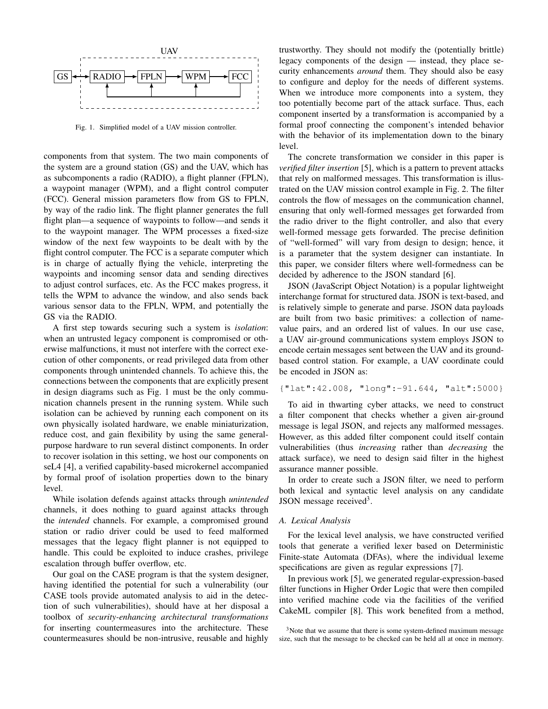

Fig. 1. Simplified model of a UAV mission controller.

components from that system. The two main components of the system are a ground station (GS) and the UAV, which has as subcomponents a radio (RADIO), a flight planner (FPLN), a waypoint manager (WPM), and a flight control computer (FCC). General mission parameters flow from GS to FPLN, by way of the radio link. The flight planner generates the full flight plan—a sequence of waypoints to follow—and sends it to the waypoint manager. The WPM processes a fixed-size window of the next few waypoints to be dealt with by the flight control computer. The FCC is a separate computer which is in charge of actually flying the vehicle, interpreting the waypoints and incoming sensor data and sending directives to adjust control surfaces, etc. As the FCC makes progress, it tells the WPM to advance the window, and also sends back various sensor data to the FPLN, WPM, and potentially the GS via the RADIO.

A first step towards securing such a system is *isolation*: when an untrusted legacy component is compromised or otherwise malfunctions, it must not interfere with the correct execution of other components, or read privileged data from other components through unintended channels. To achieve this, the connections between the components that are explicitly present in design diagrams such as Fig. 1 must be the only communication channels present in the running system. While such isolation can be achieved by running each component on its own physically isolated hardware, we enable miniaturization, reduce cost, and gain flexibility by using the same generalpurpose hardware to run several distinct components. In order to recover isolation in this setting, we host our components on seL4 [4], a verified capability-based microkernel accompanied by formal proof of isolation properties down to the binary level.

While isolation defends against attacks through *unintended* channels, it does nothing to guard against attacks through the *intended* channels. For example, a compromised ground station or radio driver could be used to feed malformed messages that the legacy flight planner is not equipped to handle. This could be exploited to induce crashes, privilege escalation through buffer overflow, etc.

Our goal on the CASE program is that the system designer, having identified the potential for such a vulnerability (our CASE tools provide automated analysis to aid in the detection of such vulnerabilities), should have at her disposal a toolbox of *security-enhancing architectural transformations* for inserting countermeasures into the architecture. These countermeasures should be non-intrusive, reusable and highly trustworthy. They should not modify the (potentially brittle) legacy components of the design — instead, they place security enhancements *around* them. They should also be easy to configure and deploy for the needs of different systems. When we introduce more components into a system, they too potentially become part of the attack surface. Thus, each component inserted by a transformation is accompanied by a formal proof connecting the component's intended behavior with the behavior of its implementation down to the binary level.

The concrete transformation we consider in this paper is *verified filter insertion* [5], which is a pattern to prevent attacks that rely on malformed messages. This transformation is illustrated on the UAV mission control example in Fig. 2. The filter controls the flow of messages on the communication channel, ensuring that only well-formed messages get forwarded from the radio driver to the flight controller, and also that every well-formed message gets forwarded. The precise definition of "well-formed" will vary from design to design; hence, it is a parameter that the system designer can instantiate. In this paper, we consider filters where well-formedness can be decided by adherence to the JSON standard [6].

JSON (JavaScript Object Notation) is a popular lightweight interchange format for structured data. JSON is text-based, and is relatively simple to generate and parse. JSON data payloads are built from two basic primitives: a collection of namevalue pairs, and an ordered list of values. In our use case, a UAV air-ground communications system employs JSON to encode certain messages sent between the UAV and its groundbased control station. For example, a UAV coordinate could be encoded in JSON as:

```
{"lat":42.008, "long":-91.644, "alt":5000}
```
To aid in thwarting cyber attacks, we need to construct a filter component that checks whether a given air-ground message is legal JSON, and rejects any malformed messages. However, as this added filter component could itself contain vulnerabilities (thus *increasing* rather than *decreasing* the attack surface), we need to design said filter in the highest assurance manner possible.

In order to create such a JSON filter, we need to perform both lexical and syntactic level analysis on any candidate JSON message received<sup>3</sup>.

#### *A. Lexical Analysis*

For the lexical level analysis, we have constructed verified tools that generate a verified lexer based on Deterministic Finite-state Automata (DFAs), where the individual lexeme specifications are given as regular expressions [7].

In previous work [5], we generated regular-expression-based filter functions in Higher Order Logic that were then compiled into verified machine code via the facilities of the verified CakeML compiler [8]. This work benefited from a method,

<sup>&</sup>lt;sup>3</sup>Note that we assume that there is some system-defined maximum message size, such that the message to be checked can be held all at once in memory.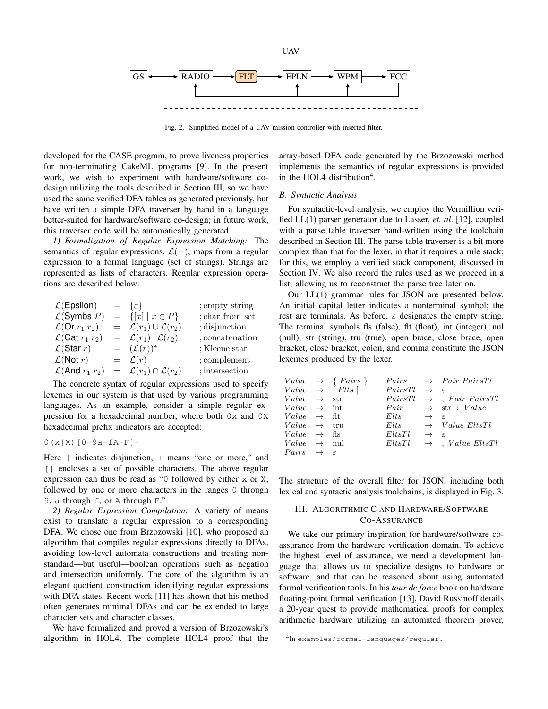

Fig. 2. Simplified model of a UAV mission controller with inserted filter.

developed for the CASE program, to prove liveness properties for non-terminating CakeML programs [9]. In the present work, we wish to experiment with hardware/software codesign utilizing the tools described in Section III, so we have used the same verified DFA tables as generated previously, but have written a simple DFA traverser by hand in a language better-suited for hardware/software co-design; in future work, this traverser code will be automatically generated.

*1) Formalization of Regular Expression Matching:* The semantics of regular expressions,  $\mathcal{L}(-)$ , maps from a regular expression to a formal language (set of strings). Strings are represented as lists of characters. Regular expression operations are described below:

|  | ; empty string                                                                                                                                                                                                                                |
|--|-----------------------------------------------------------------------------------------------------------------------------------------------------------------------------------------------------------------------------------------------|
|  | ; char from set                                                                                                                                                                                                                               |
|  | ; disjunction                                                                                                                                                                                                                                 |
|  | ; concatenation                                                                                                                                                                                                                               |
|  | ; Kleene star                                                                                                                                                                                                                                 |
|  | ; complement                                                                                                                                                                                                                                  |
|  | ; intersection                                                                                                                                                                                                                                |
|  | $= \{\varepsilon\}$<br>$= \{ [x]   x \in P \}$<br>$= \mathcal{L}(r_1) \cup \mathcal{L}(r_2)$<br>$= \mathcal{L}(r_1) \cdot \mathcal{L}(r_2)$<br>$=$ $(\mathcal{L}(r))^*$<br>$=$ $\mathcal{L}(r)$<br>$= \mathcal{L}(r_1) \cap \mathcal{L}(r_2)$ |

The concrete syntax of regular expressions used to specify lexemes in our system is that used by various programming languages. As an example, consider a simple regular expression for a hexadecimal number, where both 0x and 0X hexadecimal prefix indicators are accepted:

 $0(x|X)$ [0-9a-fA-F]+

Here | indicates disjunction, + means "one or more," and [] encloses a set of possible characters. The above regular expression can thus be read as "0 followed by either x or X, followed by one or more characters in the ranges 0 through 9, a through f, or A through F."

*2) Regular Expression Compilation:* A variety of means exist to translate a regular expression to a corresponding DFA. We chose one from Brzozowski [10], who proposed an algorithm that compiles regular expressions directly to DFAs, avoiding low-level automata constructions and treating nonstandard—but useful—boolean operations such as negation and intersection uniformly. The core of the algorithm is an elegant quotient construction identifying regular expressions with DFA states. Recent work [11] has shown that his method often generates minimal DFAs and can be extended to large character sets and character classes.

We have formalized and proved a version of Brzozowski's algorithm in HOL4. The complete HOL4 proof that the

array-based DFA code generated by the Brzozowski method implements the semantics of regular expressions is provided in the HOL4 distribution<sup>4</sup>.

#### *B. Syntactic Analysis*

For syntactic-level analysis, we employ the Vermillion verified LL(1) parser generator due to Lasser, *et. al*. [12], coupled with a parse table traverser hand-written using the toolchain described in Section III. The parse table traverser is a bit more complex than that for the lexer, in that it requires a rule stack; for this, we employ a verified stack component, discussed in Section IV. We also record the rules used as we proceed in a list, allowing us to reconstruct the parse tree later on.

Our LL(1) grammar rules for JSON are presented below. An initial capital letter indicates a nonterminal symbol; the rest are terminals. As before,  $\varepsilon$  designates the empty string. The terminal symbols fls (false), flt (float), int (integer), nul (null), str (string), tru (true), open brace, close brace, open bracket, close bracket, colon, and comma constitute the JSON lexemes produced by the lexer.

|                                 | $Value \rightarrow \{ Pairs \}$ |                                    |                             | $Pairs \rightarrow Pair \; Pair \; PairTl$ |
|---------------------------------|---------------------------------|------------------------------------|-----------------------------|--------------------------------------------|
|                                 | $Value \rightarrow [Elts]$      | PairsTl                            | $\rightarrow$ $\varepsilon$ |                                            |
| $Value \rightarrow str$         |                                 | PairsTl                            |                             | $\rightarrow$ , Pair PairsTl               |
| $Value \rightarrow int$         |                                 |                                    |                             | $Pair \rightarrow str : Value$             |
| $Value \rightarrow \text{ft}$   |                                 | $Elts \longrightarrow \varepsilon$ |                             |                                            |
| $Value \rightarrow \text{tru}$  |                                 | Elts                               |                             | $\rightarrow$ Value EltsTl                 |
| $Value \rightarrow \text{fs}$   |                                 | EltsTl                             | $\rightarrow$ $\varepsilon$ |                                            |
| $Value \rightarrow \text{null}$ |                                 | EltsTl                             |                             | $\rightarrow$ , Value EltsTl               |
| $Pairs \rightarrow \varepsilon$ |                                 |                                    |                             |                                            |

The structure of the overall filter for JSON, including both lexical and syntactic analysis toolchains, is displayed in Fig. 3.

# III. ALGORITHMIC C AND HARDWARE/SOFTWARE CO-ASSURANCE

We take our primary inspiration for hardware/software coassurance from the hardware verification domain. To achieve the highest level of assurance, we need a development language that allows us to specialize designs to hardware or software, and that can be reasoned about using automated formal verification tools. In his *tour de force* book on hardware floating-point formal verification [13], David Russinoff details a 20-year quest to provide mathematical proofs for complex arithmetic hardware utilizing an automated theorem prover,

```
4
In examples/formal-languages/regular.
```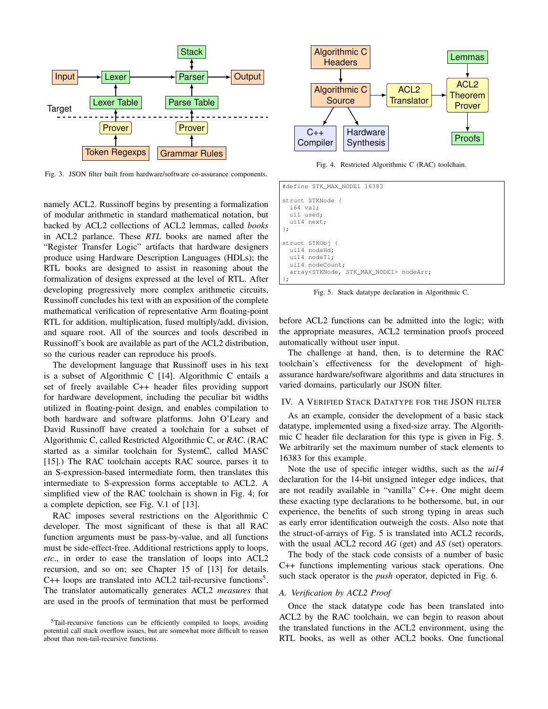

Fig. 3. JSON filter built from hardware/software co-assurance components.

namely ACL2. Russinoff begins by presenting a formalization of modular arithmetic in standard mathematical notation, but backed by ACL2 collections of ACL2 lemmas, called *books* in ACL2 parlance. These *RTL* books are named after the "Register Transfer Logic" artifacts that hardware designers produce using Hardware Description Languages (HDLs); the RTL books are designed to assist in reasoning about the formalization of designs expressed at the level of RTL. After developing progressively more complex arithmetic circuits, Russinoff concludes his text with an exposition of the complete mathematical verification of representative Arm floating-point RTL for addition, multiplication, fused multiply/add, division, and square root. All of the sources and tools described in Russinoff's book are available as part of the ACL2 distribution, so the curious reader can reproduce his proofs.

The development language that Russinoff uses in his text is a subset of Algorithmic C [14]. Algorithmic C entails a set of freely available C++ header files providing support for hardware development, including the peculiar bit widths utilized in floating-point design, and enables compilation to both hardware and software platforms. John O'Leary and David Russinoff have created a toolchain for a subset of Algorithmic C, called Restricted Algorithmic C, or *RAC*. (RAC started as a similar toolchain for SystemC, called MASC [15].) The RAC toolchain accepts RAC source, parses it to an S-expression-based intermediate form, then translates this intermediate to S-expression forms acceptable to ACL2. A simplified view of the RAC toolchain is shown in Fig. 4; for a complete depiction, see Fig. V.1 of [13].

RAC imposes several restrictions on the Algorithmic C developer. The most significant of these is that all RAC function arguments must be pass-by-value, and all functions must be side-effect-free. Additional restrictions apply to loops, *etc*., in order to ease the translation of loops into ACL2 recursion, and so on; see Chapter 15 of [13] for details.  $C++$  loops are translated into ACL2 tail-recursive functions<sup>5</sup>. The translator automatically generates ACL2 *measures* that are used in the proofs of termination that must be performed



Fig. 4. Restricted Algorithmic C (RAC) toolchain.

| #define STK MAX NODE1 16383                                                                                                       |
|-----------------------------------------------------------------------------------------------------------------------------------|
| struct STKNode {<br>i64 val;<br>uil used;<br>uil4 next;<br>$\cdot$                                                                |
| struct STKObj {<br>ui14 nodeHd;<br>ui14 nodeTl;<br>ui14 nodeCount;<br>array <stknode, max="" node1="" stk=""> nodeArr;</stknode,> |

Fig. 5. Stack datatype declaration in Algorithmic C.

before ACL2 functions can be admitted into the logic; with the appropriate measures, ACL2 termination proofs proceed automatically without user input.

The challenge at hand, then, is to determine the RAC toolchain's effectiveness for the development of highassurance hardware/software algorithms and data structures in varied domains, particularly our JSON filter.

## IV. A VERIFIED STACK DATATYPE FOR THE JSON FILTER

As an example, consider the development of a basic stack datatype, implemented using a fixed-size array. The Algorithmic C header file declaration for this type is given in Fig. 5. We arbitrarily set the maximum number of stack elements to 16383 for this example.

Note the use of specific integer widths, such as the *ui14* declaration for the 14-bit unsigned integer edge indices, that are not readily available in "vanilla" C++. One might deem these exacting type declarations to be bothersome, but, in our experience, the benefits of such strong typing in areas such as early error identification outweigh the costs. Also note that the struct-of-arrays of Fig. 5 is translated into ACL2 records, with the usual ACL2 record *AG* (get) and *AS* (set) operators.

The body of the stack code consists of a number of basic C++ functions implementing various stack operations. One such stack operator is the *push* operator, depicted in Fig. 6.

#### *A. Verification by ACL2 Proof*

Once the stack datatype code has been translated into ACL2 by the RAC toolchain, we can begin to reason about the translated functions in the ACL2 environment, using the RTL books, as well as other ACL2 books. One functional

<sup>5</sup>Tail-recursive functions can be efficiently compiled to loops, avoiding potential call stack overflow issues, but are somewhat more difficult to reason about than non-tail-recursive functions.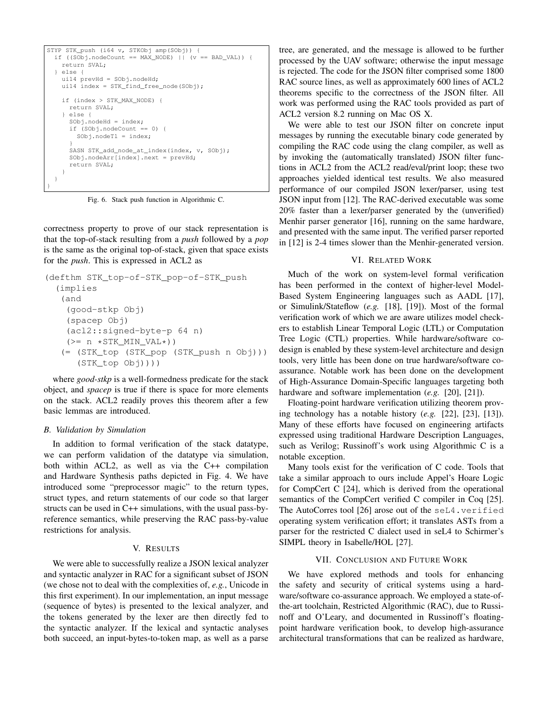```
STYP STK push (i64 v, STKObj amp(SObj))
  if ((SObj.nodeCount == MAX_NODE) || (v == BAD_VAL))return SVAL;
  } else {
   ui14 prevHd = SObj.nodeHd;
   ui14 index = STK_find_free_node(SObj);
    if (index > STK_MAX_NODE) {
      return SVAL;
    } else {
     SObj.nodeHd = index;
      if (SObj.nodeCount == 0) {
       SObj.nodeTl = index;
      }
     SASN STK_add_node_at_index(index, v, SObj);
      SObj.nodeArr[index].next = prevHd;
      return SVAL;
    }
  }
}
```
Fig. 6. Stack push function in Algorithmic C.

correctness property to prove of our stack representation is that the top-of-stack resulting from a *push* followed by a *pop* is the same as the original top-of-stack, given that space exists for the *push*. This is expressed in ACL2 as

```
(defthm STK_top-of-STK_pop-of-STK_push
  (implies
   (and
    (good-stkp Obj)
    (spacep Obj)
    (acl2::signed-byte-p 64 n)
    (>= n *STK_MIN_VAL*)(= (STK_top (STK_pop (STK_push n Obj)))
      (STK_top Obj))))
```
where *good-stkp* is a well-formedness predicate for the stack object, and *spacep* is true if there is space for more elements on the stack. ACL2 readily proves this theorem after a few basic lemmas are introduced.

## *B. Validation by Simulation*

In addition to formal verification of the stack datatype, we can perform validation of the datatype via simulation, both within ACL2, as well as via the C++ compilation and Hardware Synthesis paths depicted in Fig. 4. We have introduced some "preprocessor magic" to the return types, struct types, and return statements of our code so that larger structs can be used in C++ simulations, with the usual pass-byreference semantics, while preserving the RAC pass-by-value restrictions for analysis.

## V. RESULTS

We were able to successfully realize a JSON lexical analyzer and syntactic analyzer in RAC for a significant subset of JSON (we chose not to deal with the complexities of, *e.g.*, Unicode in this first experiment). In our implementation, an input message (sequence of bytes) is presented to the lexical analyzer, and the tokens generated by the lexer are then directly fed to the syntactic analyzer. If the lexical and syntactic analyses both succeed, an input-bytes-to-token map, as well as a parse tree, are generated, and the message is allowed to be further processed by the UAV software; otherwise the input message is rejected. The code for the JSON filter comprised some 1800 RAC source lines, as well as approximately 600 lines of ACL2 theorems specific to the correctness of the JSON filter. All work was performed using the RAC tools provided as part of ACL2 version 8.2 running on Mac OS X.

We were able to test our JSON filter on concrete input messages by running the executable binary code generated by compiling the RAC code using the clang compiler, as well as by invoking the (automatically translated) JSON filter functions in ACL2 from the ACL2 read/eval/print loop; these two approaches yielded identical test results. We also measured performance of our compiled JSON lexer/parser, using test JSON input from [12]. The RAC-derived executable was some 20% faster than a lexer/parser generated by the (unverified) Menhir parser generator [16], running on the same hardware, and presented with the same input. The verified parser reported in [12] is 2-4 times slower than the Menhir-generated version.

#### VI. RELATED WORK

Much of the work on system-level formal verification has been performed in the context of higher-level Model-Based System Engineering languages such as AADL [17], or Simulink/Stateflow (*e.g.* [18], [19]). Most of the formal verification work of which we are aware utilizes model checkers to establish Linear Temporal Logic (LTL) or Computation Tree Logic (CTL) properties. While hardware/software codesign is enabled by these system-level architecture and design tools, very little has been done on true hardware/software coassurance. Notable work has been done on the development of High-Assurance Domain-Specific languages targeting both hardware and software implementation (*e.g.* [20], [21]).

Floating-point hardware verification utilizing theorem proving technology has a notable history (*e.g.* [22], [23], [13]). Many of these efforts have focused on engineering artifacts expressed using traditional Hardware Description Languages, such as Verilog; Russinoff's work using Algorithmic C is a notable exception.

Many tools exist for the verification of C code. Tools that take a similar approach to ours include Appel's Hoare Logic for CompCert C [24], which is derived from the operational semantics of the CompCert verified C compiler in Coq [25]. The AutoCorres tool [26] arose out of the seL4.verified operating system verification effort; it translates ASTs from a parser for the restricted C dialect used in seL4 to Schirmer's SIMPL theory in Isabelle/HOL [27].

#### VII. CONCLUSION AND FUTURE WORK

We have explored methods and tools for enhancing the safety and security of critical systems using a hardware/software co-assurance approach. We employed a state-ofthe-art toolchain, Restricted Algorithmic (RAC), due to Russinoff and O'Leary, and documented in Russinoff's floatingpoint hardware verification book, to develop high-assurance architectural transformations that can be realized as hardware,